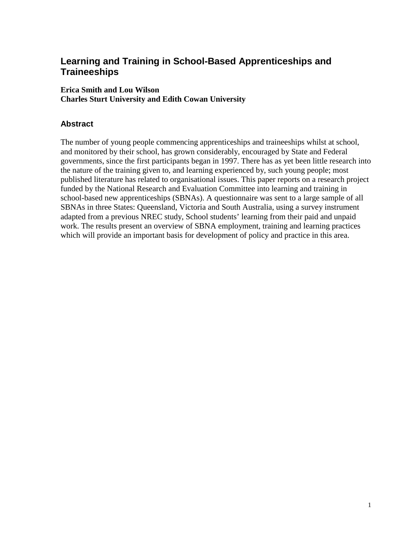# **Learning and Training in School-Based Apprenticeships and Traineeships**

## **Erica Smith and Lou Wilson Charles Sturt University and Edith Cowan University**

## **Abstract**

The number of young people commencing apprenticeships and traineeships whilst at school, and monitored by their school, has grown considerably, encouraged by State and Federal governments, since the first participants began in 1997. There has as yet been little research into the nature of the training given to, and learning experienced by, such young people; most published literature has related to organisational issues. This paper reports on a research project funded by the National Research and Evaluation Committee into learning and training in school-based new apprenticeships (SBNAs). A questionnaire was sent to a large sample of all SBNAs in three States: Queensland, Victoria and South Australia, using a survey instrument adapted from a previous NREC study, School students' learning from their paid and unpaid work. The results present an overview of SBNA employment, training and learning practices which will provide an important basis for development of policy and practice in this area.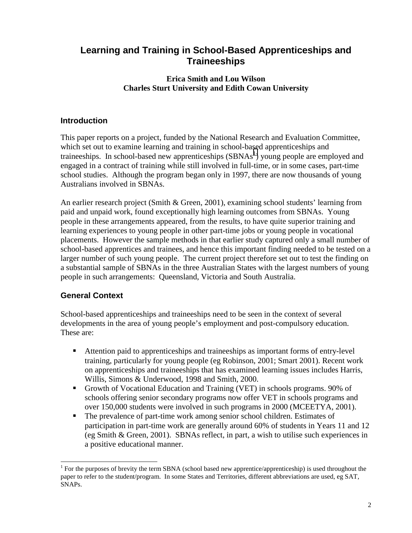## **Learning and Training in School-Based Apprenticeships and Traineeships**

### **Erica Smith and Lou Wilson Charles Sturt University and Edith Cowan University**

## **Introduction**

This paper reports on a project, funded by the National Research and Evaluation Committee, which set out to examine learning and training in school-based apprenticeships and traineeships. In school-based new apprenticeships  $(SBNA<sup>1</sup>)$  young people are employed and engaged in a contract of training while still involved in full-time, or in some cases, part-time school studies. Although the program began only in 1997, there are now thousands of young Australians involved in SBNAs.

An earlier research project (Smith & Green, 2001), examining school students' learning from paid and unpaid work, found exceptionally high learning outcomes from SBNAs. Young people in these arrangements appeared, from the results, to have quite superior training and learning experiences to young people in other part-time jobs or young people in vocational placements. However the sample methods in that earlier study captured only a small number of school-based apprentices and trainees, and hence this important finding needed to be tested on a larger number of such young people. The current project therefore set out to test the finding on a substantial sample of SBNAs in the three Australian States with the largest numbers of young people in such arrangements: Queensland, Victoria and South Australia.

## **General Context**

 $\overline{\phantom{a}}$ 

School-based apprenticeships and traineeships need to be seen in the context of several developments in the area of young people's employment and post-compulsory education. These are:

- Attention paid to apprenticeships and traineeships as important forms of entry-level training, particularly for young people (eg Robinson, 2001; Smart 2001). Recent work on apprenticeships and traineeships that has examined learning issues includes Harris, Willis, Simons & Underwood, 1998 and Smith, 2000.
- Growth of Vocational Education and Training (VET) in schools programs. 90% of schools offering senior secondary programs now offer VET in schools programs and over 150,000 students were involved in such programs in 2000 (MCEETYA, 2001).
- The prevalence of part-time work among senior school children. Estimates of participation in part-time work are generally around 60% of students in Years 11 and 12 (eg Smith & Green, 2001). SBNAs reflect, in part, a wish to utilise such experiences in a positive educational manner.

<sup>&</sup>lt;sup>1</sup> For the purposes of brevity the term SBNA (school based new apprentice/apprenticeship) is used throughout the paper to refer to the student/program. In some States and Territories, different abbreviations are used, eg SAT, SNAPs.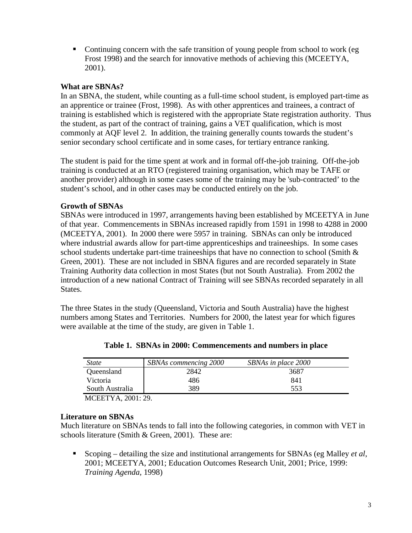• Continuing concern with the safe transition of young people from school to work (eg) Frost 1998) and the search for innovative methods of achieving this (MCEETYA, 2001).

#### **What are SBNAs?**

In an SBNA, the student, while counting as a full-time school student, is employed part-time as an apprentice or trainee (Frost, 1998). As with other apprentices and trainees, a contract of training is established which is registered with the appropriate State registration authority. Thus the student, as part of the contract of training, gains a VET qualification, which is most commonly at AQF level 2. In addition, the training generally counts towards the student's senior secondary school certificate and in some cases, for tertiary entrance ranking.

The student is paid for the time spent at work and in formal off-the-job training. Off-the-job training is conducted at an RTO (registered training organisation, which may be TAFE or another provider) although in some cases some of the training may be 'sub-contracted' to the student's school, and in other cases may be conducted entirely on the job.

#### **Growth of SBNAs**

SBNAs were introduced in 1997, arrangements having been established by MCEETYA in June of that year. Commencements in SBNAs increased rapidly from 1591 in 1998 to 4288 in 2000 (MCEETYA, 2001). In 2000 there were 5957 in training. SBNAs can only be introduced where industrial awards allow for part-time apprenticeships and traineeships. In some cases school students undertake part-time traineeships that have no connection to school (Smith  $\&$ Green, 2001). These are not included in SBNA figures and are recorded separately in State Training Authority data collection in most States (but not South Australia). From 2002 the introduction of a new national Contract of Training will see SBNAs recorded separately in all States.

The three States in the study (Queensland, Victoria and South Australia) have the highest numbers among States and Territories. Numbers for 2000, the latest year for which figures were available at the time of the study, are given in Table 1.

| <i>State</i>    | <b>SBNAs</b> commencing 2000 | SBNAs in place 2000 |
|-----------------|------------------------------|---------------------|
| Queensland      | 2842                         | 3687                |
| Victoria        | 486                          | 841                 |
| South Australia | 389                          | 553                 |

**Table 1. SBNAs in 2000: Commencements and numbers in place** 

MCEETYA, 2001: 29.

#### **Literature on SBNAs**

Much literature on SBNAs tends to fall into the following categories, in common with VET in schools literature (Smith & Green, 2001). These are:

 Scoping – detailing the size and institutional arrangements for SBNAs (eg Malley *et al*, 2001; MCEETYA, 2001; Education Outcomes Research Unit, 2001; Price, 1999: *Training Agenda,* 1998)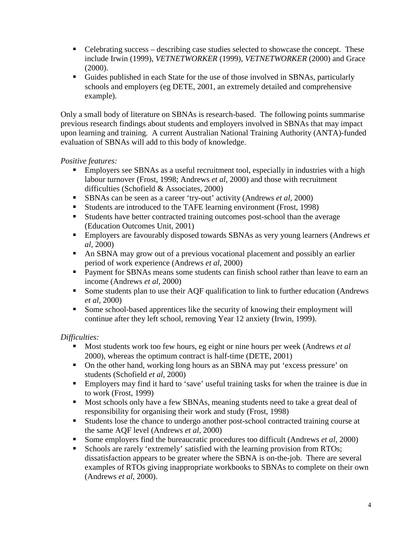- Celebrating success describing case studies selected to showcase the concept. These include Irwin (1999), *VETNETWORKER* (1999), *VETNETWORKER* (2000) and Grace (2000).
- Guides published in each State for the use of those involved in SBNAs, particularly schools and employers (eg DETE, 2001, an extremely detailed and comprehensive example).

Only a small body of literature on SBNAs is research-based. The following points summarise previous research findings about students and employers involved in SBNAs that may impact upon learning and training. A current Australian National Training Authority (ANTA)-funded evaluation of SBNAs will add to this body of knowledge.

*Positive features:*

- **Employers see SBNAs as a useful recruitment tool, especially in industries with a high** labour turnover (Frost, 1998; Andrews *et al,* 2000) and those with recruitment difficulties (Schofield & Associates, 2000)
- SBNAs can be seen as a career 'try-out' activity (Andrews *et al,* 2000)
- Students are introduced to the TAFE learning environment (Frost, 1998)
- Students have better contracted training outcomes post-school than the average (Education Outcomes Unit, 2001)
- Employers are favourably disposed towards SBNAs as very young learners (Andrews *et al,* 2000)
- An SBNA may grow out of a previous vocational placement and possibly an earlier period of work experience (Andrews *et al*, 2000)
- **Payment for SBNAs means some students can finish school rather than leave to earn an** income (Andrews *et al,* 2000)
- Some students plan to use their AQF qualification to link to further education (Andrews *et al,* 2000)
- Some school-based apprentices like the security of knowing their employment will continue after they left school, removing Year 12 anxiety (Irwin, 1999).

*Difficulties:*

- Most students work too few hours, eg eight or nine hours per week (Andrews *et al*) 2000), whereas the optimum contract is half-time (DETE, 2001)
- On the other hand, working long hours as an SBNA may put 'excess pressure' on students (Schofield *et al,* 2000)
- Employers may find it hard to 'save' useful training tasks for when the trainee is due in to work (Frost, 1999)
- Most schools only have a few SBNAs, meaning students need to take a great deal of responsibility for organising their work and study (Frost, 1998)
- Students lose the chance to undergo another post-school contracted training course at the same AQF level (Andrews *et al*, 2000)
- Some employers find the bureaucratic procedures too difficult (Andrews *et al*, 2000)
- Schools are rarely 'extremely' satisfied with the learning provision from RTOs; dissatisfaction appears to be greater where the SBNA is on-the-job. There are several examples of RTOs giving inappropriate workbooks to SBNAs to complete on their own (Andrews *et al*, 2000).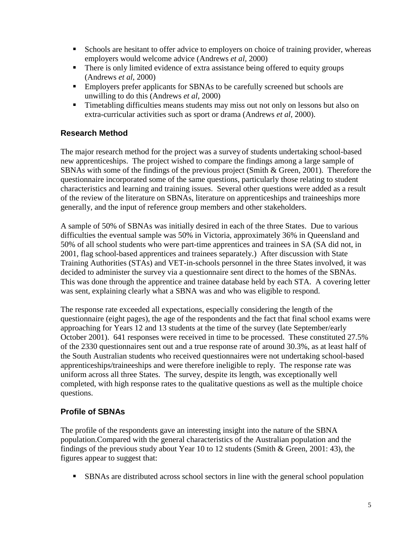- **Schools are hesitant to offer advice to employers on choice of training provider, whereas** employers would welcome advice (Andrews *et al,* 2000)
- There is only limited evidence of extra assistance being offered to equity groups (Andrews *et al*, 2000)
- **Employers prefer applicants for SBNAs to be carefully screened but schools are** unwilling to do this (Andrews *et al,* 2000)
- **Timetabling difficulties means students may miss out not only on lessons but also on** extra-curricular activities such as sport or drama (Andrews *et al*, 2000).

## **Research Method**

The major research method for the project was a survey of students undertaking school-based new apprenticeships. The project wished to compare the findings among a large sample of SBNAs with some of the findings of the previous project (Smith & Green, 2001). Therefore the questionnaire incorporated some of the same questions, particularly those relating to student characteristics and learning and training issues. Several other questions were added as a result of the review of the literature on SBNAs, literature on apprenticeships and traineeships more generally, and the input of reference group members and other stakeholders.

A sample of 50% of SBNAs was initially desired in each of the three States. Due to various difficulties the eventual sample was 50% in Victoria, approximately 36% in Queensland and 50% of all school students who were part-time apprentices and trainees in SA (SA did not, in 2001, flag school-based apprentices and trainees separately.) After discussion with State Training Authorities (STAs) and VET-in-schools personnel in the three States involved, it was decided to administer the survey via a questionnaire sent direct to the homes of the SBNAs. This was done through the apprentice and trainee database held by each STA. A covering letter was sent, explaining clearly what a SBNA was and who was eligible to respond.

The response rate exceeded all expectations, especially considering the length of the questionnaire (eight pages), the age of the respondents and the fact that final school exams were approaching for Years 12 and 13 students at the time of the survey (late September/early October 2001). 641 responses were received in time to be processed. These constituted 27.5% of the 2330 questionnaires sent out and a true response rate of around 30.3%, as at least half of the South Australian students who received questionnaires were not undertaking school-based apprenticeships/traineeships and were therefore ineligible to reply. The response rate was uniform across all three States. The survey, despite its length, was exceptionally well completed, with high response rates to the qualitative questions as well as the multiple choice questions.

## **Profile of SBNAs**

The profile of the respondents gave an interesting insight into the nature of the SBNA population.Compared with the general characteristics of the Australian population and the findings of the previous study about Year 10 to 12 students (Smith & Green, 2001: 43), the figures appear to suggest that:

**SBNAs** are distributed across school sectors in line with the general school population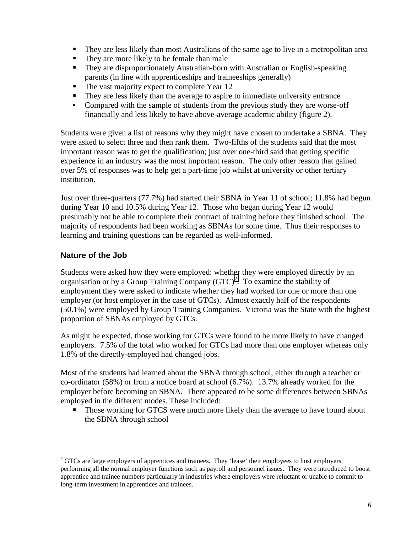- They are less likely than most Australians of the same age to live in a metropolitan area
- They are more likely to be female than male
- They are disproportionately Australian-born with Australian or English-speaking parents (in line with apprenticeships and traineeships generally)
- The vast majority expect to complete Year 12
- They are less likely than the average to aspire to immediate university entrance
- Compared with the sample of students from the previous study they are worse-off financially and less likely to have above-average academic ability (figure 2).

Students were given a list of reasons why they might have chosen to undertake a SBNA. They were asked to select three and then rank them. Two-fifths of the students said that the most important reason was to get the qualification; just over one-third said that getting specific experience in an industry was the most important reason. The only other reason that gained over 5% of responses was to help get a part-time job whilst at university or other tertiary institution.

Just over three-quarters (77.7%) had started their SBNA in Year 11 of school; 11.8% had begun during Year 10 and 10.5% during Year 12. Those who began during Year 12 would presumably not be able to complete their contract of training before they finished school. The majority of respondents had been working as SBNAs for some time. Thus their responses to learning and training questions can be regarded as well-informed.

#### **Nature of the Job**

Students were asked how they were employed: whether they were employed directly by an organisation or by a Group Training Company  $(GTC)^2$ . To examine the stability of employment they were asked to indicate whether they had worked for one or more than one employer (or host employer in the case of GTCs). Almost exactly half of the respondents (50.1%) were employed by Group Training Companies. Victoria was the State with the highest proportion of SBNAs employed by GTCs.

As might be expected, those working for GTCs were found to be more likely to have changed employers. 7.5% of the total who worked for GTCs had more than one employer whereas only 1.8% of the directly-employed had changed jobs.

Most of the students had learned about the SBNA through school, either through a teacher or co-ordinator (58%) or from a notice board at school (6.7%). 13.7% already worked for the employer before becoming an SBNA. There appeared to be some differences between SBNAs employed in the different modes. These included:

 Those working for GTCS were much more likely than the average to have found about the SBNA through school

 $\overline{\phantom{a}}$  $2^2$  GTCs are large employers of apprentices and trainees. They 'lease' their employees to host employers, performing all the normal employer functions such as payroll and personnel issues. They were introduced to boost apprentice and trainee numbers particularly in industries where employers were reluctant or unable to commit to long-term investment in apprentices and trainees.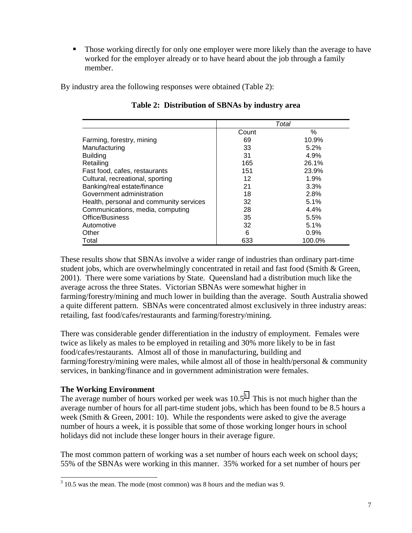**Those working directly for only one employer were more likely than the average to have** worked for the employer already or to have heard about the job through a family member.

By industry area the following responses were obtained (Table 2):

|                                         |       | Total  |
|-----------------------------------------|-------|--------|
|                                         | Count | $\%$   |
| Farming, forestry, mining               | 69    | 10.9%  |
| Manufacturing                           | 33    | 5.2%   |
| <b>Building</b>                         | 31    | 4.9%   |
| Retailing                               | 165   | 26.1%  |
| Fast food, cafes, restaurants           | 151   | 23.9%  |
| Cultural, recreational, sporting        | 12    | 1.9%   |
| Banking/real estate/finance             | 21    | 3.3%   |
| Government administration               | 18    | 2.8%   |
| Health, personal and community services | 32    | 5.1%   |
| Communications, media, computing        | 28    | 4.4%   |
| Office/Business                         | 35    | 5.5%   |
| Automotive                              | 32    | 5.1%   |
| Other                                   | 6     | 0.9%   |
| Total                                   | 633   | 100.0% |

#### **Table 2: Distribution of SBNAs by industry area**

These results show that SBNAs involve a wider range of industries than ordinary part-time student jobs, which are overwhelmingly concentrated in retail and fast food (Smith & Green, 2001). There were some variations by State. Queensland had a distribution much like the average across the three States. Victorian SBNAs were somewhat higher in farming/forestry/mining and much lower in building than the average. South Australia showed a quite different pattern. SBNAs were concentrated almost exclusively in three industry areas: retailing, fast food/cafes/restaurants and farming/forestry/mining.

There was considerable gender differentiation in the industry of employment. Females were twice as likely as males to be employed in retailing and 30% more likely to be in fast food/cafes/restaurants. Almost all of those in manufacturing, building and farming/forestry/mining were males, while almost all of those in health/personal & community services, in banking/finance and in government administration were females.

#### **The Working Environment**

The average number of hours worked per week was  $10.5^3$ . This is not much higher than the average number of hours for all part-time student jobs, which has been found to be 8.5 hours a week (Smith & Green, 2001: 10). While the respondents were asked to give the average number of hours a week, it is possible that some of those working longer hours in school holidays did not include these longer hours in their average figure.

The most common pattern of working was a set number of hours each week on school days; 55% of the SBNAs were working in this manner. 35% worked for a set number of hours per

<sup>&</sup>lt;sup>3</sup> 10.5 was the mean. The mode (most common) was 8 hours and the median was 9.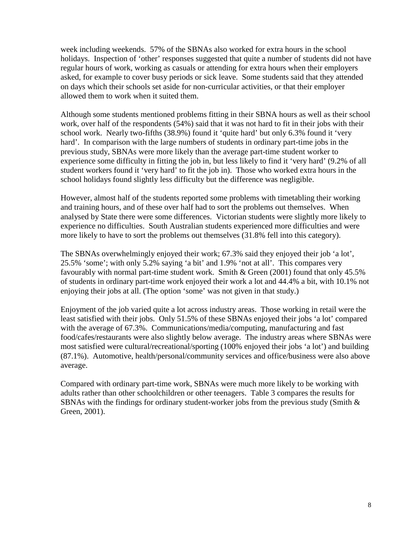week including weekends. 57% of the SBNAs also worked for extra hours in the school holidays. Inspection of 'other' responses suggested that quite a number of students did not have regular hours of work, working as casuals or attending for extra hours when their employers asked, for example to cover busy periods or sick leave. Some students said that they attended on days which their schools set aside for non-curricular activities, or that their employer allowed them to work when it suited them.

Although some students mentioned problems fitting in their SBNA hours as well as their school work, over half of the respondents (54%) said that it was not hard to fit in their jobs with their school work. Nearly two-fifths (38.9%) found it 'quite hard' but only 6.3% found it 'very hard'. In comparison with the large numbers of students in ordinary part-time jobs in the previous study, SBNAs were more likely than the average part-time student worker to experience some difficulty in fitting the job in, but less likely to find it 'very hard' (9.2% of all student workers found it 'very hard' to fit the job in). Those who worked extra hours in the school holidays found slightly less difficulty but the difference was negligible.

However, almost half of the students reported some problems with timetabling their working and training hours, and of these over half had to sort the problems out themselves. When analysed by State there were some differences. Victorian students were slightly more likely to experience no difficulties. South Australian students experienced more difficulties and were more likely to have to sort the problems out themselves (31.8% fell into this category).

The SBNAs overwhelmingly enjoyed their work; 67.3% said they enjoyed their job 'a lot', 25.5% 'some'; with only 5.2% saying 'a bit' and 1.9% 'not at all'. This compares very favourably with normal part-time student work. Smith & Green (2001) found that only 45.5% of students in ordinary part-time work enjoyed their work a lot and 44.4% a bit, with 10.1% not enjoying their jobs at all. (The option 'some' was not given in that study.)

Enjoyment of the job varied quite a lot across industry areas. Those working in retail were the least satisfied with their jobs. Only 51.5% of these SBNAs enjoyed their jobs 'a lot' compared with the average of 67.3%. Communications/media/computing, manufacturing and fast food/cafes/restaurants were also slightly below average. The industry areas where SBNAs were most satisfied were cultural/recreational/sporting (100% enjoyed their jobs 'a lot') and building (87.1%). Automotive, health/personal/community services and office/business were also above average.

Compared with ordinary part-time work, SBNAs were much more likely to be working with adults rather than other schoolchildren or other teenagers. Table 3 compares the results for SBNAs with the findings for ordinary student-worker jobs from the previous study (Smith & Green, 2001).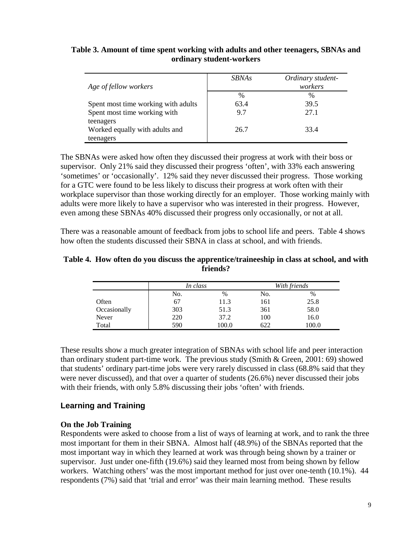#### **Table 3. Amount of time spent working with adults and other teenagers, SBNAs and ordinary student-workers**

| Age of fellow workers               | <b>SBNAs</b>  | Ordinary student-<br>workers |
|-------------------------------------|---------------|------------------------------|
|                                     | $\frac{0}{0}$ | %                            |
| Spent most time working with adults | 63.4          | 39.5                         |
| Spent most time working with        | 9.7           | 27.1                         |
| teenagers                           |               |                              |
| Worked equally with adults and      | 26.7          | 33.4                         |
| teenagers                           |               |                              |

The SBNAs were asked how often they discussed their progress at work with their boss or supervisor. Only 21% said they discussed their progress 'often', with 33% each answering 'sometimes' or 'occasionally'. 12% said they never discussed their progress. Those working for a GTC were found to be less likely to discuss their progress at work often with their workplace supervisor than those working directly for an employer. Those working mainly with adults were more likely to have a supervisor who was interested in their progress. However, even among these SBNAs 40% discussed their progress only occasionally, or not at all.

There was a reasonable amount of feedback from jobs to school life and peers. Table 4 shows how often the students discussed their SBNA in class at school, and with friends.

#### **Table 4. How often do you discuss the apprentice/traineeship in class at school, and with friends?**

|              | In class |       | With friends |       |
|--------------|----------|-------|--------------|-------|
|              | No.      | $\%$  | No.          | $\%$  |
| Often        | 67       | 11.3  | 161          | 25.8  |
| Occasionally | 303      | 51.3  | 361          | 58.0  |
| Never        | 220      | 37.2  | 100          | 16.0  |
| Total        | 590      | 100.0 | 622          | 100.0 |

These results show a much greater integration of SBNAs with school life and peer interaction than ordinary student part-time work. The previous study (Smith & Green, 2001: 69) showed that students' ordinary part-time jobs were very rarely discussed in class (68.8% said that they were never discussed), and that over a quarter of students (26.6%) never discussed their jobs with their friends, with only 5.8% discussing their jobs 'often' with friends.

## **Learning and Training**

#### **On the Job Training**

Respondents were asked to choose from a list of ways of learning at work, and to rank the three most important for them in their SBNA. Almost half (48.9%) of the SBNAs reported that the most important way in which they learned at work was through being shown by a trainer or supervisor. Just under one-fifth (19.6%) said they learned most from being shown by fellow workers. Watching others' was the most important method for just over one-tenth (10.1%). 44 respondents (7%) said that 'trial and error' was their main learning method. These results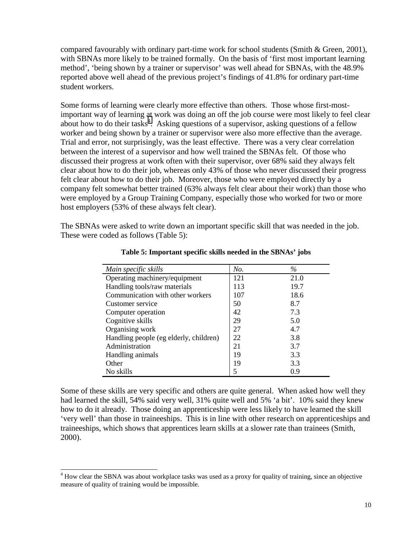compared favourably with ordinary part-time work for school students (Smith  $\&$  Green, 2001), with SBNAs more likely to be trained formally. On the basis of 'first most important learning method', 'being shown by a trainer or supervisor' was well ahead for SBNAs, with the 48.9% reported above well ahead of the previous project's findings of 41.8% for ordinary part-time student workers.

Some forms of learning were clearly more effective than others. Those whose first-mostimportant way of learning at work was doing an off the job course were most likely to feel clear about how to do their tasks<sup>4</sup>. Asking questions of a supervisor, asking questions of a fellow worker and being shown by a trainer or supervisor were also more effective than the average. Trial and error, not surprisingly, was the least effective. There was a very clear correlation between the interest of a supervisor and how well trained the SBNAs felt. Of those who discussed their progress at work often with their supervisor, over 68% said they always felt clear about how to do their job, whereas only 43% of those who never discussed their progress felt clear about how to do their job. Moreover, those who were employed directly by a company felt somewhat better trained (63% always felt clear about their work) than those who were employed by a Group Training Company, especially those who worked for two or more host employers (53% of these always felt clear).

The SBNAs were asked to write down an important specific skill that was needed in the job. These were coded as follows (Table 5):

| Main specific skills                   | No. | $\%$ |
|----------------------------------------|-----|------|
| Operating machinery/equipment          | 121 | 21.0 |
| Handling tools/raw materials           | 113 | 19.7 |
| Communication with other workers       | 107 | 18.6 |
| Customer service                       | 50  | 8.7  |
| Computer operation                     | 42  | 7.3  |
| Cognitive skills                       | 29  | 5.0  |
| Organising work                        | 27  | 4.7  |
| Handling people (eg elderly, children) | 22  | 3.8  |
| Administration                         | 21  | 3.7  |
| Handling animals                       | 19  | 3.3  |
| Other                                  | 19  | 3.3  |
| No skills                              |     | 0.9  |

**Table 5: Important specific skills needed in the SBNAs' jobs** 

Some of these skills are very specific and others are quite general. When asked how well they had learned the skill, 54% said very well, 31% quite well and 5% 'a bit'. 10% said they knew how to do it already. Those doing an apprenticeship were less likely to have learned the skill 'very well' than those in traineeships. This is in line with other research on apprenticeships and traineeships, which shows that apprentices learn skills at a slower rate than trainees (Smith, 2000).

 $\overline{a}$ <sup>4</sup> How clear the SBNA was about workplace tasks was used as a proxy for quality of training, since an objective measure of quality of training would be impossible.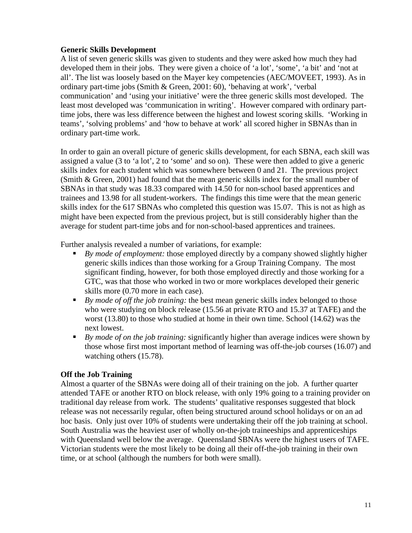#### **Generic Skills Development**

A list of seven generic skills was given to students and they were asked how much they had developed them in their jobs. They were given a choice of 'a lot', 'some', 'a bit' and 'not at all'. The list was loosely based on the Mayer key competencies (AEC/MOVEET, 1993). As in ordinary part-time jobs (Smith & Green, 2001: 60), 'behaving at work', 'verbal communication' and 'using your initiative' were the three generic skills most developed. The least most developed was 'communication in writing'. However compared with ordinary parttime jobs, there was less difference between the highest and lowest scoring skills. 'Working in teams', 'solving problems' and 'how to behave at work' all scored higher in SBNAs than in ordinary part-time work.

In order to gain an overall picture of generic skills development, for each SBNA, each skill was assigned a value (3 to 'a lot', 2 to 'some' and so on). These were then added to give a generic skills index for each student which was somewhere between 0 and 21. The previous project (Smith & Green, 2001) had found that the mean generic skills index for the small number of SBNAs in that study was 18.33 compared with 14.50 for non-school based apprentices and trainees and 13.98 for all student-workers. The findings this time were that the mean generic skills index for the 617 SBNAs who completed this question was 15.07. This is not as high as might have been expected from the previous project, but is still considerably higher than the average for student part-time jobs and for non-school-based apprentices and trainees.

Further analysis revealed a number of variations, for example:

- *By mode of employment:* those employed directly by a company showed slightly higher generic skills indices than those working for a Group Training Company. The most significant finding, however, for both those employed directly and those working for a GTC, was that those who worked in two or more workplaces developed their generic skills more (0.70 more in each case).
- *By mode of off the job training:* the best mean generic skills index belonged to those who were studying on block release (15.56 at private RTO and 15.37 at TAFE) and the worst (13.80) to those who studied at home in their own time. School (14.62) was the next lowest.
- *By mode of on the job training:* significantly higher than average indices were shown by those whose first most important method of learning was off-the-job courses (16.07) and watching others (15.78).

#### **Off the Job Training**

Almost a quarter of the SBNAs were doing all of their training on the job. A further quarter attended TAFE or another RTO on block release, with only 19% going to a training provider on traditional day release from work. The students' qualitative responses suggested that block release was not necessarily regular, often being structured around school holidays or on an ad hoc basis. Only just over 10% of students were undertaking their off the job training at school. South Australia was the heaviest user of wholly on-the-job traineeships and apprenticeships with Queensland well below the average. Queensland SBNAs were the highest users of TAFE. Victorian students were the most likely to be doing all their off-the-job training in their own time, or at school (although the numbers for both were small).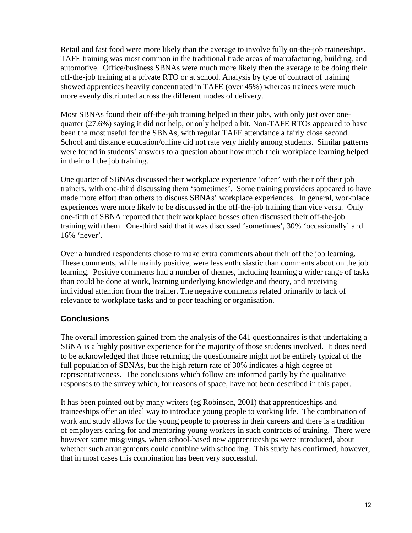Retail and fast food were more likely than the average to involve fully on-the-job traineeships. TAFE training was most common in the traditional trade areas of manufacturing, building, and automotive. Office/business SBNAs were much more likely then the average to be doing their off-the-job training at a private RTO or at school. Analysis by type of contract of training showed apprentices heavily concentrated in TAFE (over 45%) whereas trainees were much more evenly distributed across the different modes of delivery.

Most SBNAs found their off-the-job training helped in their jobs, with only just over onequarter (27.6%) saying it did not help, or only helped a bit. Non-TAFE RTOs appeared to have been the most useful for the SBNAs, with regular TAFE attendance a fairly close second. School and distance education/online did not rate very highly among students. Similar patterns were found in students' answers to a question about how much their workplace learning helped in their off the job training.

One quarter of SBNAs discussed their workplace experience 'often' with their off their job trainers, with one-third discussing them 'sometimes'. Some training providers appeared to have made more effort than others to discuss SBNAs' workplace experiences. In general, workplace experiences were more likely to be discussed in the off-the-job training than vice versa. Only one-fifth of SBNA reported that their workplace bosses often discussed their off-the-job training with them. One-third said that it was discussed 'sometimes', 30% 'occasionally' and 16% 'never'.

Over a hundred respondents chose to make extra comments about their off the job learning. These comments, while mainly positive, were less enthusiastic than comments about on the job learning. Positive comments had a number of themes, including learning a wider range of tasks than could be done at work, learning underlying knowledge and theory, and receiving individual attention from the trainer. The negative comments related primarily to lack of relevance to workplace tasks and to poor teaching or organisation.

## **Conclusions**

The overall impression gained from the analysis of the 641 questionnaires is that undertaking a SBNA is a highly positive experience for the majority of those students involved. It does need to be acknowledged that those returning the questionnaire might not be entirely typical of the full population of SBNAs, but the high return rate of 30% indicates a high degree of representativeness. The conclusions which follow are informed partly by the qualitative responses to the survey which, for reasons of space, have not been described in this paper.

It has been pointed out by many writers (eg Robinson, 2001) that apprenticeships and traineeships offer an ideal way to introduce young people to working life. The combination of work and study allows for the young people to progress in their careers and there is a tradition of employers caring for and mentoring young workers in such contracts of training. There were however some misgivings, when school-based new apprenticeships were introduced, about whether such arrangements could combine with schooling. This study has confirmed, however, that in most cases this combination has been very successful.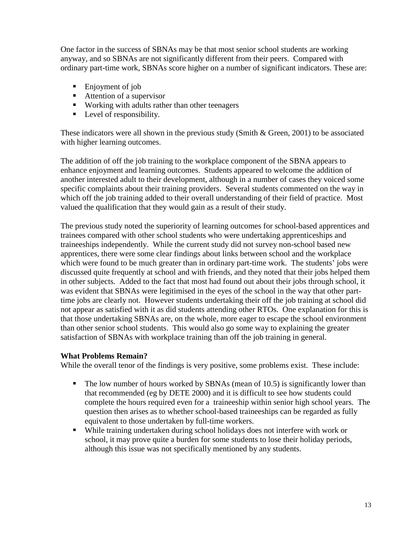One factor in the success of SBNAs may be that most senior school students are working anyway, and so SBNAs are not significantly different from their peers. Compared with ordinary part-time work, SBNAs score higher on a number of significant indicators. These are:

- Enjoyment of job
- Attention of a supervisor
- Working with adults rather than other teenagers
- **Level of responsibility.**

These indicators were all shown in the previous study (Smith & Green, 2001) to be associated with higher learning outcomes.

The addition of off the job training to the workplace component of the SBNA appears to enhance enjoyment and learning outcomes. Students appeared to welcome the addition of another interested adult to their development, although in a number of cases they voiced some specific complaints about their training providers. Several students commented on the way in which off the job training added to their overall understanding of their field of practice. Most valued the qualification that they would gain as a result of their study.

The previous study noted the superiority of learning outcomes for school-based apprentices and trainees compared with other school students who were undertaking apprenticeships and traineeships independently. While the current study did not survey non-school based new apprentices, there were some clear findings about links between school and the workplace which were found to be much greater than in ordinary part-time work. The students' jobs were discussed quite frequently at school and with friends, and they noted that their jobs helped them in other subjects. Added to the fact that most had found out about their jobs through school, it was evident that SBNAs were legitimised in the eyes of the school in the way that other parttime jobs are clearly not. However students undertaking their off the job training at school did not appear as satisfied with it as did students attending other RTOs. One explanation for this is that those undertaking SBNAs are, on the whole, more eager to escape the school environment than other senior school students. This would also go some way to explaining the greater satisfaction of SBNAs with workplace training than off the job training in general.

#### **What Problems Remain?**

While the overall tenor of the findings is very positive, some problems exist. These include:

- The low number of hours worked by SBNAs (mean of 10.5) is significantly lower than that recommended (eg by DETE 2000) and it is difficult to see how students could complete the hours required even for a traineeship within senior high school years. The question then arises as to whether school-based traineeships can be regarded as fully equivalent to those undertaken by full-time workers.
- While training undertaken during school holidays does not interfere with work or school, it may prove quite a burden for some students to lose their holiday periods, although this issue was not specifically mentioned by any students.